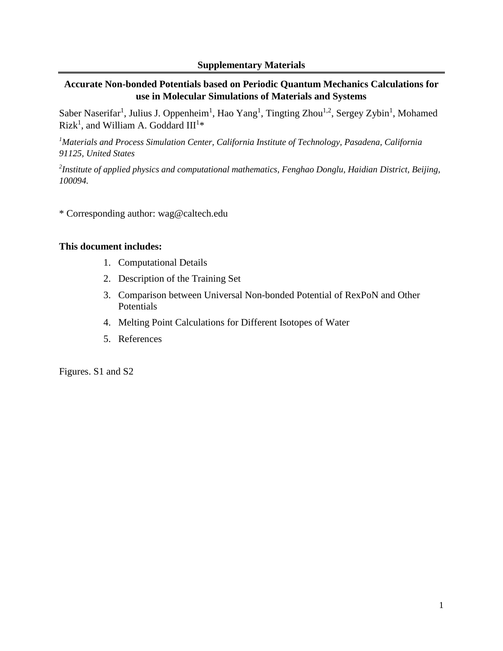# **Accurate Non-bonded Potentials based on Periodic Quantum Mechanics Calculations for use in Molecular Simulations of Materials and Systems**

Saber Naserifar<sup>1</sup>, Julius J. Oppenheim<sup>1</sup>, Hao Yang<sup>1</sup>, Tingting Zhou<sup>1,2</sup>, Sergey Zybin<sup>1</sup>, Mohamed Rizk<sup>1</sup>, and William A. Goddard  $III^{1*}$ 

*<sup>1</sup>Materials and Process Simulation Center, California Institute of Technology, Pasadena, California 91125, United States*

*2 Institute of applied physics and computational mathematics, Fenghao Donglu, Haidian District, Beijing, 100094.*

\* Corresponding author: wag@caltech.edu

## **This document includes:**

- 1. Computational Details
- 2. Description of the Training Set
- 3. Comparison between Universal Non-bonded Potential of RexPoN and Other Potentials
- 4. Melting Point Calculations for Different Isotopes of Water
- 5. References

Figures. S1 and S2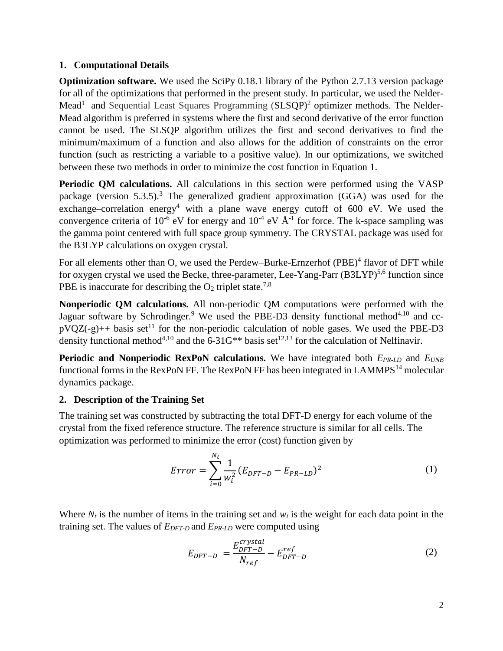### **1. Computational Details**

**Optimization software.** We used the SciPy 0.18.1 library of the Python 2.7.13 version package for all of the optimizations that performed in the present study. In particular, we used the Nelder-Mead<sup>1</sup> and Sequential Least Squares Programming (SLSQP)<sup>2</sup> optimizer methods. The Nelder-Mead algorithm is preferred in systems where the first and second derivative of the error function cannot be used. The SLSQP algorithm utilizes the first and second derivatives to find the minimum/maximum of a function and also allows for the addition of constraints on the error function (such as restricting a variable to a positive value). In our optimizations, we switched between these two methods in order to minimize the cost function in Equation [1.](#page-1-0)

**Periodic QM calculations.** All calculations in this section were performed using the VASP package (version 5.3.5).<sup>3</sup> The generalized gradient approximation (GGA) was used for the exchange–correlation energy<sup>4</sup> with a plane wave energy cutoff of 600 eV. We used the convergence criteria of 10<sup>-6</sup> eV for energy and  $10^{-4}$  eV  $\AA$ <sup>-1</sup> for force. The k-space sampling was the gamma point centered with full space group symmetry. The CRYSTAL package was used for the B3LYP calculations on oxygen crystal.

For all elements other than O, we used the Perdew–Burke-Ernzerhof (PBE)<sup>4</sup> flavor of DFT while for oxygen crystal we used the Becke, three-parameter, Lee-Yang-Parr  $(B3LYP)^{5,6}$  function since PBE is inaccurate for describing the  $O_2$  triplet state.<sup>7,8</sup>

**Nonperiodic QM calculations.** All non-periodic QM computations were performed with the Jaguar software by Schrodinger.<sup>9</sup> We used the PBE-D3 density functional method<sup>4,10</sup> and cc $pVQZ(-g)++$  basis set<sup>11</sup> for the non-periodic calculation of noble gases. We used the PBE-D3 density functional method<sup>4,10</sup> and the  $6-31G^{**}$  basis set<sup>12,13</sup> for the calculation of Nelfinavir.

**Periodic and Nonperiodic RexPoN calculations.** We have integrated both *EPR-LD* and *EUNB* functional forms in the RexPoN FF. The RexPoN FF has been integrated in LAMMPS<sup>14</sup> molecular dynamics package.

# **2. Description of the Training Set**

The training set was constructed by subtracting the total DFT-D energy for each volume of the crystal from the fixed reference structure. The reference structure is similar for all cells. The optimization was performed to minimize the error (cost) function given by

$$
Error = \sum_{i=0}^{N_t} \frac{1}{w_i^2} (E_{DFT-D} - E_{PR-LD})^2
$$
 (1)

Where  $N_t$  is the number of items in the training set and  $w_i$  is the weight for each data point in the training set. The values of *EDFT-D* and *EPR-LD* were computed using

<span id="page-1-0"></span>
$$
E_{DFT-D} = \frac{E_{DFT-D}^{crystal}}{N_{ref}} - E_{DFT-D}^{ref}
$$
 (2)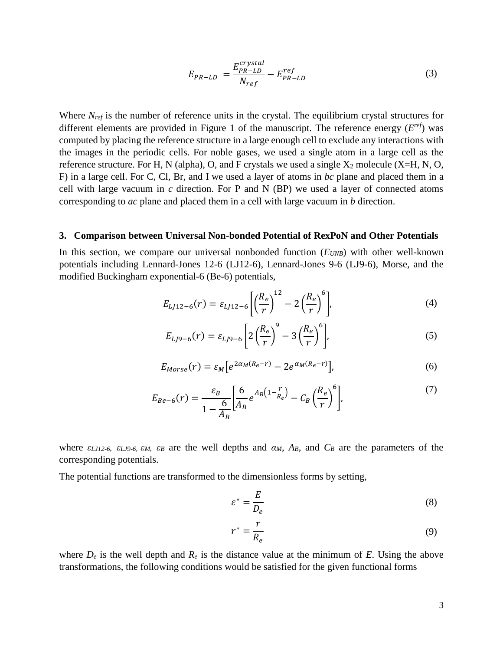$$
E_{PR-LD} = \frac{E_{PR-LD}^{crystal}}{N_{ref}} - E_{PR-LD}^{ref}
$$
 (3)

Where *N<sub>ref</sub>* is the number of reference units in the crystal. The equilibrium crystal structures for different elements are provided in Figure 1 of the manuscript. The reference energy  $(E^{ref})$  was computed by placing the reference structure in a large enough cell to exclude any interactions with the images in the periodic cells. For noble gases, we used a single atom in a large cell as the reference structure. For H, N (alpha), O, and F crystals we used a single  $X_2$  molecule (X=H, N, O, F) in a large cell. For C, Cl, Br, and I we used a layer of atoms in *bc* plane and placed them in a cell with large vacuum in *c* direction. For P and N (BP) we used a layer of connected atoms corresponding to *ac* plane and placed them in a cell with large vacuum in *b* direction.

#### **3. Comparison between Universal Non-bonded Potential of RexPoN and Other Potentials**

In this section, we compare our universal nonbonded function (*EUNB*) with other well-known potentials including Lennard-Jones 12-6 (LJ12-6), Lennard-Jones 9-6 (LJ9-6), Morse, and the modified Buckingham exponential-6 (Be-6) potentials,

$$
E_{LJ12-6}(r) = \varepsilon_{LJ12-6} \left[ \left( \frac{R_e}{r} \right)^{12} - 2 \left( \frac{R_e}{r} \right)^6 \right],\tag{4}
$$

$$
E_{LJ9-6}(r) = \varepsilon_{LJ9-6} \left[ 2 \left( \frac{R_e}{r} \right)^9 - 3 \left( \frac{R_e}{r} \right)^6 \right],
$$
 (5)

$$
E_{Morse}(r) = \varepsilon_M \left[ e^{2\alpha_M (R_e - r)} - 2e^{\alpha_M (R_e - r)} \right],\tag{6}
$$

$$
E_{Be-6}(r) = \frac{\varepsilon_B}{1 - \frac{6}{A_B}} \left[ \frac{6}{A_B} e^{A_B \left( 1 - \frac{r}{R_e} \right)} - C_B \left( \frac{R_e}{r} \right)^6 \right],\tag{7}
$$

where  $\epsilon_{LJI2-6}$ ,  $\epsilon_{LJ9-6}$ ,  $\epsilon_{M}$ ,  $\epsilon_{B}$  are the well depths and  $\alpha_{M}$ ,  $A_{B}$ , and  $C_{B}$  are the parameters of the corresponding potentials.

The potential functions are transformed to the dimensionless forms by setting,

<span id="page-2-0"></span>
$$
\varepsilon^* = \frac{E}{D_e} \tag{8}
$$

<span id="page-2-1"></span>
$$
r^* = \frac{r}{R_e} \tag{9}
$$

where  $D_e$  is the well depth and  $R_e$  is the distance value at the minimum of *E*. Using the above transformations, the following conditions would be satisfied for the given functional forms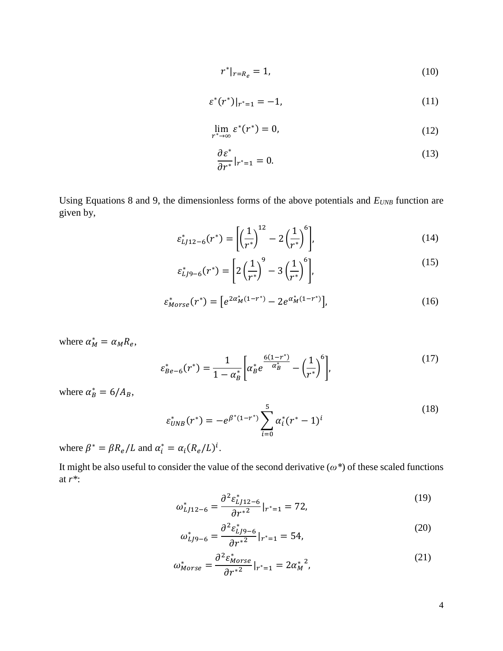$$
r^*|_{r=R_e} = 1,\tag{10}
$$

$$
\varepsilon^*(r^*)|_{r^*=1} = -1,\tag{11}
$$

$$
\lim_{r^* \to \infty} \varepsilon^*(r^*) = 0,\tag{12}
$$

<span id="page-3-0"></span>
$$
\frac{\partial \varepsilon^*}{\partial r^*}|_{r^*=1} = 0. \tag{13}
$$

Using Equations [8](#page-2-0) and [9,](#page-2-1) the dimensionless forms of the above potentials and  $E_{UNB}$  function are given by,

$$
\varepsilon_{LJ12-6}^{*}(r^{*}) = \left[ \left( \frac{1}{r^{*}} \right)^{12} - 2 \left( \frac{1}{r^{*}} \right)^{6} \right],\tag{14}
$$

$$
\varepsilon_{LJ9-6}^{*}(r^{*}) = \left[2\left(\frac{1}{r^{*}}\right)^{9} - 3\left(\frac{1}{r^{*}}\right)^{6}\right],\tag{15}
$$

$$
\varepsilon_{Morse}^*(r^*) = \left[e^{2\alpha_M^*(1-r^*)} - 2e^{\alpha_M^*(1-r^*)}\right],\tag{16}
$$

where  $\alpha_M^* = \alpha_M R_e$ ,

$$
\varepsilon_{Be-6}^*(r^*) = \frac{1}{1 - \alpha_B^*} \bigg[ \alpha_B^* e^{\frac{6(1 - r^*)}{\alpha_B^*}} - \left(\frac{1}{r^*}\right)^6 \bigg],\tag{17}
$$

where  $\alpha_B^* = 6/A_B$ ,

$$
\varepsilon_{UNB}^*(r^*) = -e^{\beta^*(1-r^*)} \sum_{i=0}^5 \alpha_i^*(r^*-1)^i
$$
\n(18)

where  $\beta^* = \beta R_e / L$  and  $\alpha_i^* = \alpha_i (R_e / L)^i$ .

It might be also useful to consider the value of the second derivative (*ω\**) of these scaled functions at *r\**:

$$
\omega_{LJ12-6}^{*} = \frac{\partial^2 \varepsilon_{LJ12-6}^{*}}{\partial r^{*2}}|_{r^{*}=1} = 72,
$$
\n(19)

$$
\omega_{LJ9-6}^{*} = \frac{\partial^2 \varepsilon_{LJ9-6}^{*}}{\partial r^{*2}}|_{r^{*}=1} = 54,
$$
\n(20)

$$
\omega_{Morse}^* = \frac{\partial^2 \varepsilon_{Morse}^*}{\partial r^{*2}}|_{r^*=1} = 2\alpha_M^{*2},\tag{21}
$$

<span id="page-3-1"></span>4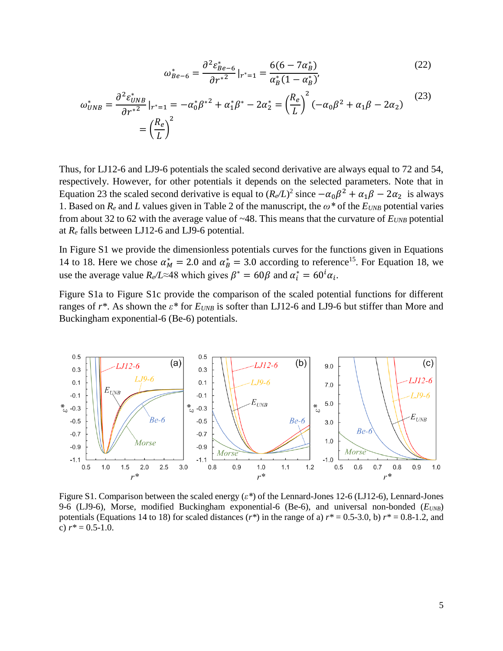<span id="page-4-0"></span>
$$
\omega_{Be-6}^* = \frac{\partial^2 \varepsilon_{Be-6}^*}{\partial r^{*2}}|_{r^*=1} = \frac{6(6-7\alpha_B^*)}{\alpha_B^*(1-\alpha_B^*)},\tag{22}
$$

$$
\omega_{UNB}^* = \frac{\partial^2 \varepsilon_{UNB}^*}{\partial r^{*2}}|_{r^*=1} = -\alpha_0^* \beta^{*2} + \alpha_1^* \beta^* - 2\alpha_2^* = \left(\frac{R_e}{L}\right)^2 (-\alpha_0 \beta^2 + \alpha_1 \beta - 2\alpha_2)
$$
\n
$$
= \left(\frac{R_e}{L}\right)^2
$$
\n(23)

Thus, for LJ12-6 and LJ9-6 potentials the scaled second derivative are always equal to 72 and 54, respectively. However, for other potentials it depends on the selected parameters. Note that in Equation [23](#page-4-0) the scaled second derivative is equal to  $(R_e/L)^2$  since  $-\alpha_0\beta^2 + \alpha_1\beta - 2\alpha_2$  is always 1. Based on  $R_e$  and *L* values given in Table 2 of the manuscript, the  $\omega^*$  of the  $E_{UNB}$  potential varies from about 32 to 62 with the average value of  $~48$ . This means that the curvature of  $E_{UNB}$  potential at *R<sup>e</sup>* falls between LJ12-6 and LJ9-6 potential.

In [Figure S1](#page-4-1) we provide the dimensionless potentials curves for the functions given in Equations [14](#page-3-0) to [18.](#page-3-1) Here we chose  $\alpha_M^* = 2.0$  and  $\alpha_B^* = 3.0$  according to reference<sup>15</sup>. For Equation [18,](#page-3-1) we use the average value  $R_e/L \approx 48$  which gives  $\beta^* = 60\beta$  and  $\alpha_i^* = 60^i \alpha_i$ .

[Figure S1a](#page-4-1) to [Figure S1c](#page-4-1) provide the comparison of the scaled potential functions for different ranges of *r\**. As shown the *ε\** for *EUNB* is softer than LJ12-6 and LJ9-6 but stiffer than More and Buckingham exponential-6 (Be-6) potentials.



<span id="page-4-1"></span>Figure S1. Comparison between the scaled energy (*ε\**) of the Lennard-Jones 12-6 (LJ12-6), Lennard-Jones 9-6 (LJ9-6), Morse, modified Buckingham exponential-6 (Be-6), and universal non-bonded (*EUNB*) potentials (Equations [14](#page-3-0) to [18\)](#page-3-1) for scaled distances  $(r^*)$  in the range of a)  $r^* = 0.5-3.0$ , b)  $r^* = 0.8-1.2$ , and c)  $r^* = 0.5 - 1.0$ .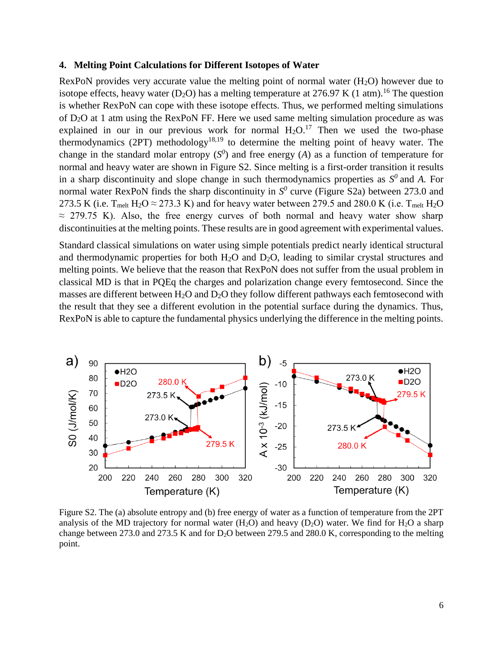#### **4. Melting Point Calculations for Different Isotopes of Water**

RexPoN provides very accurate value the melting point of normal water  $(H<sub>2</sub>O)$  however due to isotope effects, heavy water (D<sub>2</sub>O) has a melting temperature at 276.97 K (1 atm).<sup>16</sup> The question is whether RexPoN can cope with these isotope effects. Thus, we performed melting simulations of D2O at 1 atm using the RexPoN FF. Here we used same melting simulation procedure as was explained in our in our previous work for normal  $H_2O^{17}$ . Then we used the two-phase thermodynamics (2PT) methodology<sup>18,19</sup> to determine the melting point of heavy water. The change in the standard molar entropy  $(S^0)$  and free energy  $(A)$  as a function of temperature for normal and heavy water are shown in [Figure S2.](#page-5-0) Since melting is a first-order transition it results in a sharp discontinuity and slope change in such thermodynamics properties as  $S^0$  and A. For normal water RexPoN finds the sharp discontinuity in  $S<sup>0</sup>$  curve [\(Figure S2a](#page-5-0)) between 273.0 and 273.5 K (i.e.  $T_{\text{melt}}$  H<sub>2</sub>O  $\approx$  273.3 K) and for heavy water between 279.5 and 280.0 K (i.e.  $T_{\text{melt}}$  H<sub>2</sub>O  $\approx$  279.75 K). Also, the free energy curves of both normal and heavy water show sharp discontinuities at the melting points. These results are in good agreement with experimental values.

Standard classical simulations on water using simple potentials predict nearly identical structural and thermodynamic properties for both  $H_2O$  and  $D_2O$ , leading to similar crystal structures and melting points. We believe that the reason that RexPoN does not suffer from the usual problem in classical MD is that in PQEq the charges and polarization change every femtosecond. Since the masses are different between  $H_2O$  and  $D_2O$  they follow different pathways each femtosecond with the result that they see a different evolution in the potential surface during the dynamics. Thus, RexPoN is able to capture the fundamental physics underlying the difference in the melting points.



<span id="page-5-0"></span>Figure S2. The (a) absolute entropy and (b) free energy of water as a function of temperature from the 2PT analysis of the MD trajectory for normal water  $(H_2O)$  and heavy  $(D_2O)$  water. We find for  $H_2O$  a sharp change between 273.0 and 273.5 K and for D<sub>2</sub>O between 279.5 and 280.0 K, corresponding to the melting point.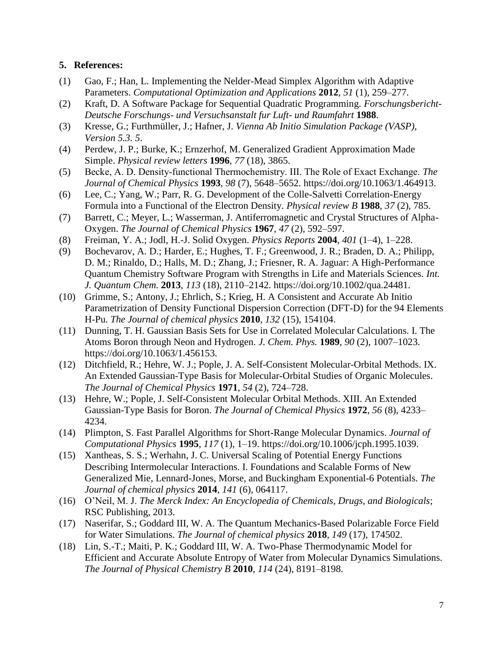## **5. References:**

- (1) Gao, F.; Han, L. Implementing the Nelder-Mead Simplex Algorithm with Adaptive Parameters. *Computational Optimization and Applications* **2012**, *51* (1), 259–277.
- (2) Kraft, D. A Software Package for Sequential Quadratic Programming. *Forschungsbericht-Deutsche Forschungs- und Versuchsanstalt fur Luft- und Raumfahrt* **1988**.
- (3) Kresse, G.; Furthmüller, J.; Hafner, J. *Vienna Ab Initio Simulation Package (VASP), Version 5.3. 5*.
- (4) Perdew, J. P.; Burke, K.; Ernzerhof, M. Generalized Gradient Approximation Made Simple. *Physical review letters* **1996**, *77* (18), 3865.
- (5) Becke, A. D. Density‐functional Thermochemistry. III. The Role of Exact Exchange. *The Journal of Chemical Physics* **1993**, *98* (7), 5648–5652. https://doi.org/10.1063/1.464913.
- (6) Lee, C.; Yang, W.; Parr, R. G. Development of the Colle-Salvetti Correlation-Energy Formula into a Functional of the Electron Density. *Physical review B* **1988**, *37* (2), 785.
- (7) Barrett, C.; Meyer, L.; Wasserman, J. Antiferromagnetic and Crystal Structures of Alpha-Oxygen. *The Journal of Chemical Physics* **1967**, *47* (2), 592–597.
- (8) Freiman, Y. A.; Jodl, H.-J. Solid Oxygen. *Physics Reports* **2004**, *401* (1–4), 1–228.
- (9) Bochevarov, A. D.; Harder, E.; Hughes, T. F.; Greenwood, J. R.; Braden, D. A.; Philipp, D. M.; Rinaldo, D.; Halls, M. D.; Zhang, J.; Friesner, R. A. Jaguar: A High-Performance Quantum Chemistry Software Program with Strengths in Life and Materials Sciences. *Int. J. Quantum Chem.* **2013**, *113* (18), 2110–2142. https://doi.org/10.1002/qua.24481.
- (10) Grimme, S.; Antony, J.; Ehrlich, S.; Krieg, H. A Consistent and Accurate Ab Initio Parametrization of Density Functional Dispersion Correction (DFT-D) for the 94 Elements H-Pu. *The Journal of chemical physics* **2010**, *132* (15), 154104.
- (11) Dunning, T. H. Gaussian Basis Sets for Use in Correlated Molecular Calculations. I. The Atoms Boron through Neon and Hydrogen. *J. Chem. Phys.* **1989**, *90* (2), 1007–1023. https://doi.org/10.1063/1.456153.
- (12) Ditchfield, R.; Hehre, W. J.; Pople, J. A. Self-Consistent Molecular-Orbital Methods. IX. An Extended Gaussian-Type Basis for Molecular-Orbital Studies of Organic Molecules. *The Journal of Chemical Physics* **1971**, *54* (2), 724–728.
- (13) Hehre, W.; Pople, J. Self-Consistent Molecular Orbital Methods. XIII. An Extended Gaussian-Type Basis for Boron. *The Journal of Chemical Physics* **1972**, *56* (8), 4233– 4234.
- (14) Plimpton, S. Fast Parallel Algorithms for Short-Range Molecular Dynamics. *Journal of Computational Physics* **1995**, *117* (1), 1–19. https://doi.org/10.1006/jcph.1995.1039.
- (15) Xantheas, S. S.; Werhahn, J. C. Universal Scaling of Potential Energy Functions Describing Intermolecular Interactions. I. Foundations and Scalable Forms of New Generalized Mie, Lennard-Jones, Morse, and Buckingham Exponential-6 Potentials. *The Journal of chemical physics* **2014**, *141* (6), 064117.
- (16) O'Neil, M. J. *The Merck Index: An Encyclopedia of Chemicals, Drugs, and Biologicals*; RSC Publishing, 2013.
- (17) Naserifar, S.; Goddard III, W. A. The Quantum Mechanics-Based Polarizable Force Field for Water Simulations. *The Journal of chemical physics* **2018**, *149* (17), 174502.
- (18) Lin, S.-T.; Maiti, P. K.; Goddard III, W. A. Two-Phase Thermodynamic Model for Efficient and Accurate Absolute Entropy of Water from Molecular Dynamics Simulations. *The Journal of Physical Chemistry B* **2010**, *114* (24), 8191–8198.